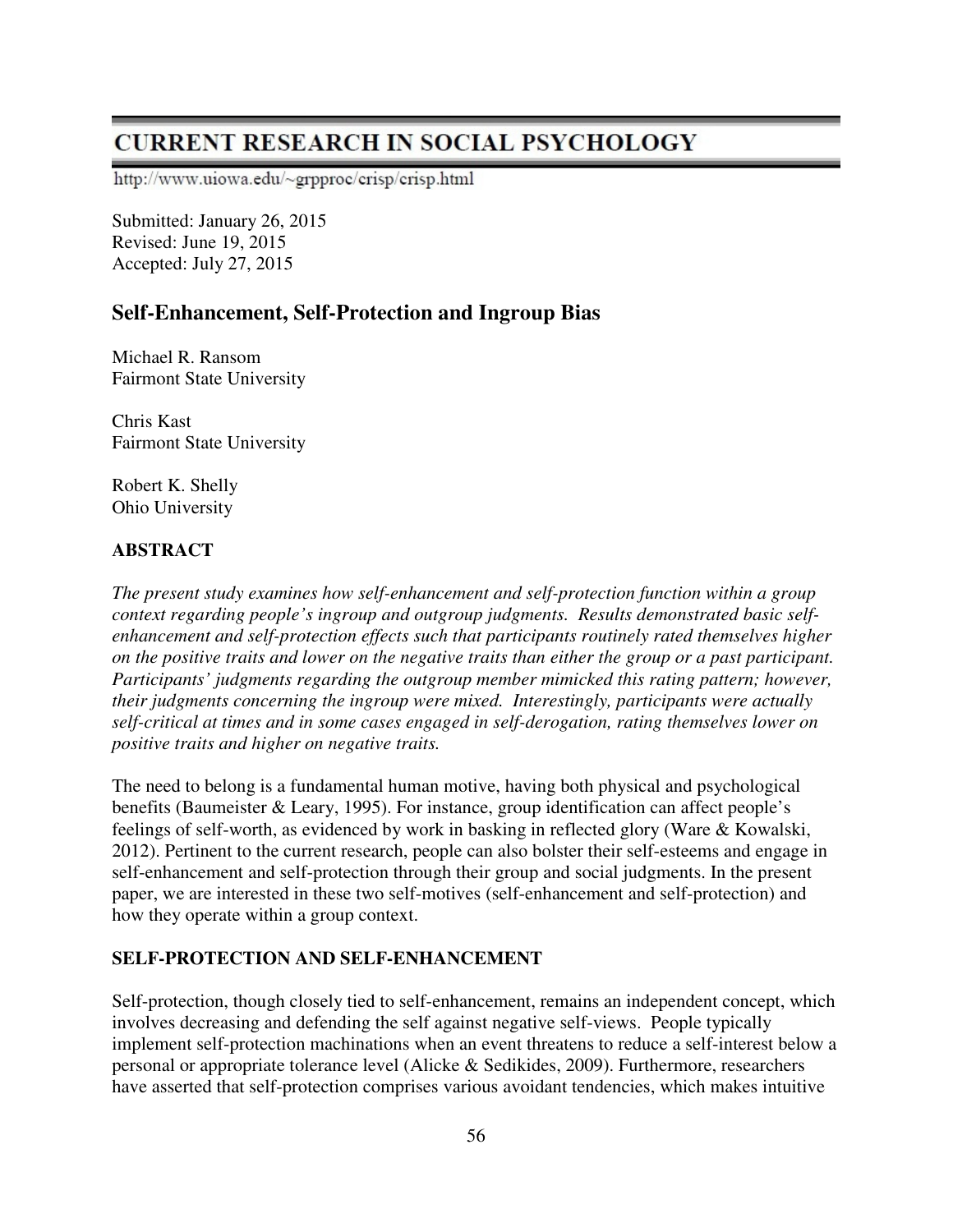# **CURRENT RESEARCH IN SOCIAL PSYCHOLOGY**

http://www.uiowa.edu/~grpproc/crisp/crisp.html

Submitted: January 26, 2015 Revised: June 19, 2015 Accepted: July 27, 2015

## **Self-Enhancement, Self-Protection and Ingroup Bias**

Michael R. Ransom Fairmont State University

Chris Kast Fairmont State University

Robert K. Shelly Ohio University

## **ABSTRACT**

*The present study examines how self-enhancement and self-protection function within a group context regarding people's ingroup and outgroup judgments. Results demonstrated basic selfenhancement and self-protection effects such that participants routinely rated themselves higher on the positive traits and lower on the negative traits than either the group or a past participant. Participants' judgments regarding the outgroup member mimicked this rating pattern; however, their judgments concerning the ingroup were mixed. Interestingly, participants were actually self-critical at times and in some cases engaged in self-derogation, rating themselves lower on positive traits and higher on negative traits.* 

The need to belong is a fundamental human motive, having both physical and psychological benefits (Baumeister & Leary, 1995). For instance, group identification can affect people's feelings of self-worth, as evidenced by work in basking in reflected glory (Ware & Kowalski, 2012). Pertinent to the current research, people can also bolster their self-esteems and engage in self-enhancement and self-protection through their group and social judgments. In the present paper, we are interested in these two self-motives (self-enhancement and self-protection) and how they operate within a group context.

## **SELF-PROTECTION AND SELF-ENHANCEMENT**

Self-protection, though closely tied to self-enhancement, remains an independent concept, which involves decreasing and defending the self against negative self-views. People typically implement self-protection machinations when an event threatens to reduce a self-interest below a personal or appropriate tolerance level (Alicke & Sedikides, 2009). Furthermore, researchers have asserted that self-protection comprises various avoidant tendencies, which makes intuitive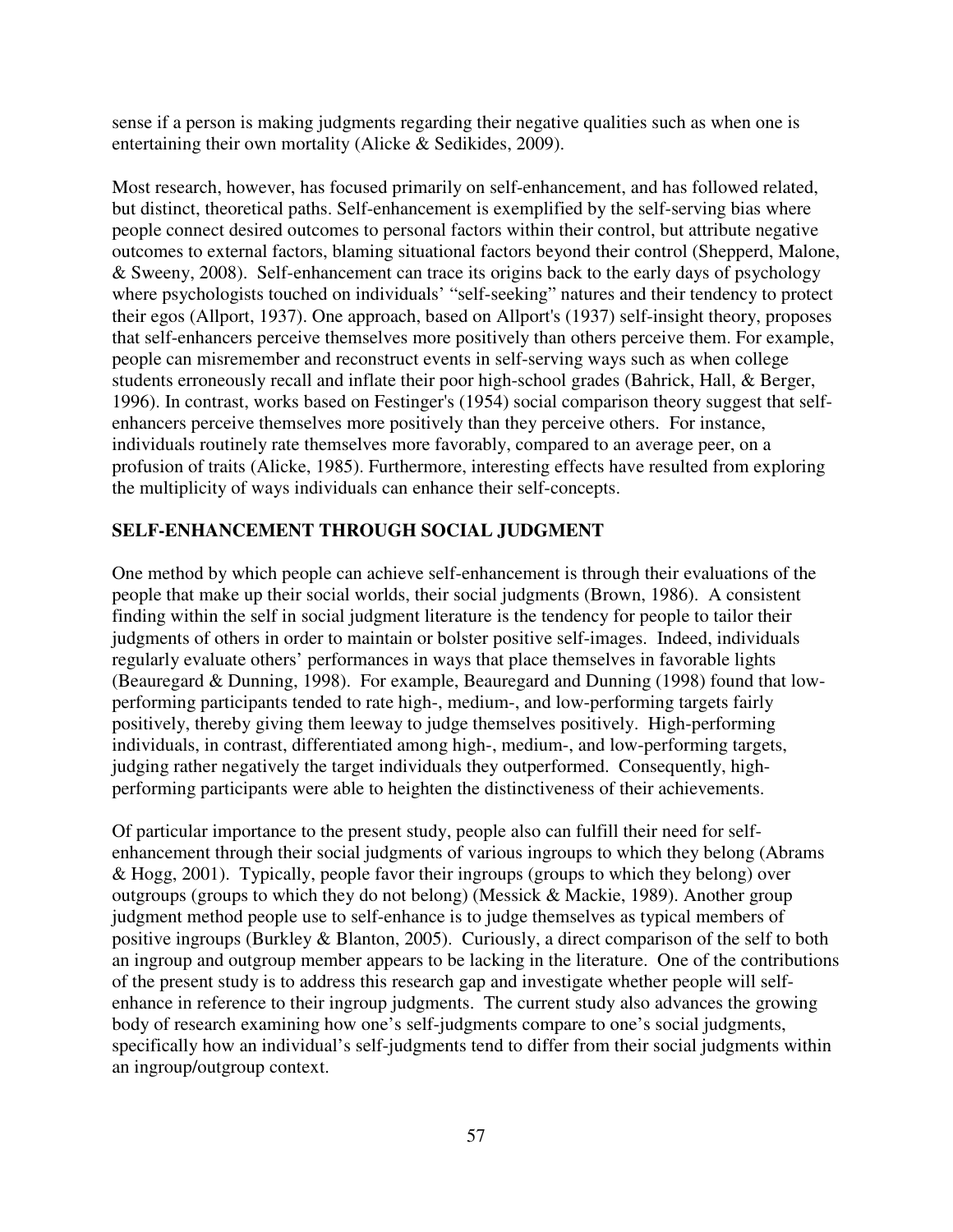sense if a person is making judgments regarding their negative qualities such as when one is entertaining their own mortality (Alicke & Sedikides, 2009).

Most research, however, has focused primarily on self-enhancement, and has followed related, but distinct, theoretical paths. Self-enhancement is exemplified by the self-serving bias where people connect desired outcomes to personal factors within their control, but attribute negative outcomes to external factors, blaming situational factors beyond their control (Shepperd, Malone, & Sweeny, 2008). Self-enhancement can trace its origins back to the early days of psychology where psychologists touched on individuals' "self-seeking" natures and their tendency to protect their egos (Allport, 1937). One approach, based on Allport's (1937) self-insight theory, proposes that self-enhancers perceive themselves more positively than others perceive them. For example, people can misremember and reconstruct events in self-serving ways such as when college students erroneously recall and inflate their poor high-school grades (Bahrick, Hall, & Berger, 1996). In contrast, works based on Festinger's (1954) social comparison theory suggest that selfenhancers perceive themselves more positively than they perceive others. For instance, individuals routinely rate themselves more favorably, compared to an average peer, on a profusion of traits (Alicke, 1985). Furthermore, interesting effects have resulted from exploring the multiplicity of ways individuals can enhance their self-concepts.

#### **SELF-ENHANCEMENT THROUGH SOCIAL JUDGMENT**

One method by which people can achieve self-enhancement is through their evaluations of the people that make up their social worlds, their social judgments (Brown, 1986). A consistent finding within the self in social judgment literature is the tendency for people to tailor their judgments of others in order to maintain or bolster positive self-images. Indeed, individuals regularly evaluate others' performances in ways that place themselves in favorable lights (Beauregard & Dunning, 1998). For example, Beauregard and Dunning (1998) found that lowperforming participants tended to rate high-, medium-, and low-performing targets fairly positively, thereby giving them leeway to judge themselves positively. High-performing individuals, in contrast, differentiated among high-, medium-, and low-performing targets, judging rather negatively the target individuals they outperformed. Consequently, highperforming participants were able to heighten the distinctiveness of their achievements.

Of particular importance to the present study, people also can fulfill their need for selfenhancement through their social judgments of various ingroups to which they belong (Abrams & Hogg, 2001). Typically, people favor their ingroups (groups to which they belong) over outgroups (groups to which they do not belong) (Messick & Mackie, 1989). Another group judgment method people use to self-enhance is to judge themselves as typical members of positive ingroups (Burkley & Blanton, 2005). Curiously, a direct comparison of the self to both an ingroup and outgroup member appears to be lacking in the literature. One of the contributions of the present study is to address this research gap and investigate whether people will selfenhance in reference to their ingroup judgments. The current study also advances the growing body of research examining how one's self-judgments compare to one's social judgments, specifically how an individual's self-judgments tend to differ from their social judgments within an ingroup/outgroup context.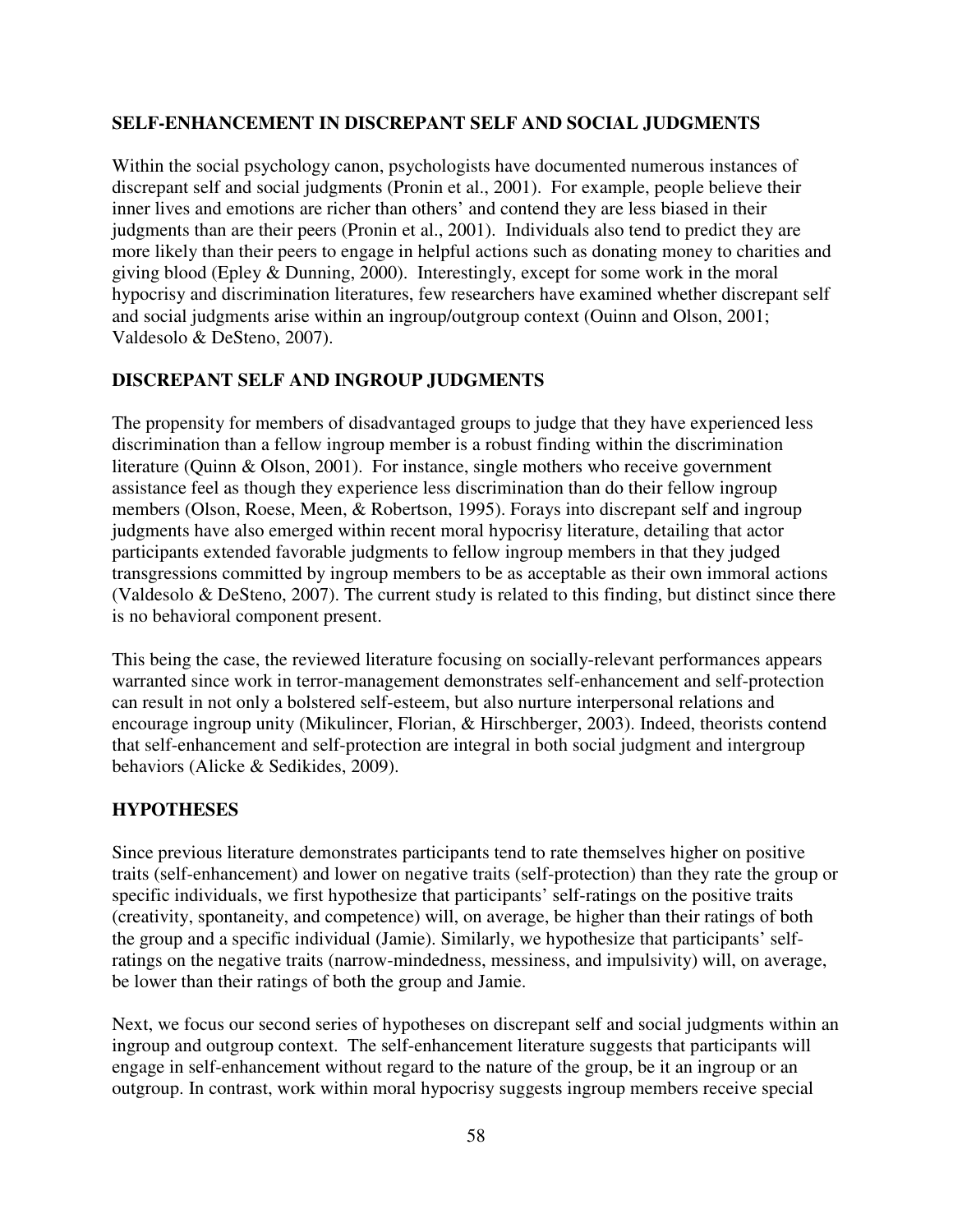#### **SELF-ENHANCEMENT IN DISCREPANT SELF AND SOCIAL JUDGMENTS**

Within the social psychology canon, psychologists have documented numerous instances of discrepant self and social judgments (Pronin et al., 2001). For example, people believe their inner lives and emotions are richer than others' and contend they are less biased in their judgments than are their peers (Pronin et al., 2001). Individuals also tend to predict they are more likely than their peers to engage in helpful actions such as donating money to charities and giving blood (Epley & Dunning, 2000). Interestingly, except for some work in the moral hypocrisy and discrimination literatures, few researchers have examined whether discrepant self and social judgments arise within an ingroup/outgroup context (Ouinn and Olson, 2001; Valdesolo & DeSteno, 2007).

#### **DISCREPANT SELF AND INGROUP JUDGMENTS**

The propensity for members of disadvantaged groups to judge that they have experienced less discrimination than a fellow ingroup member is a robust finding within the discrimination literature (Quinn & Olson, 2001). For instance, single mothers who receive government assistance feel as though they experience less discrimination than do their fellow ingroup members (Olson, Roese, Meen, & Robertson, 1995). Forays into discrepant self and ingroup judgments have also emerged within recent moral hypocrisy literature, detailing that actor participants extended favorable judgments to fellow ingroup members in that they judged transgressions committed by ingroup members to be as acceptable as their own immoral actions (Valdesolo & DeSteno, 2007). The current study is related to this finding, but distinct since there is no behavioral component present.

This being the case, the reviewed literature focusing on socially-relevant performances appears warranted since work in terror-management demonstrates self-enhancement and self-protection can result in not only a bolstered self-esteem, but also nurture interpersonal relations and encourage ingroup unity (Mikulincer, Florian, & Hirschberger, 2003). Indeed, theorists contend that self-enhancement and self-protection are integral in both social judgment and intergroup behaviors (Alicke & Sedikides, 2009).

#### **HYPOTHESES**

Since previous literature demonstrates participants tend to rate themselves higher on positive traits (self-enhancement) and lower on negative traits (self-protection) than they rate the group or specific individuals, we first hypothesize that participants' self-ratings on the positive traits (creativity, spontaneity, and competence) will, on average, be higher than their ratings of both the group and a specific individual (Jamie). Similarly, we hypothesize that participants' selfratings on the negative traits (narrow-mindedness, messiness, and impulsivity) will, on average, be lower than their ratings of both the group and Jamie.

Next, we focus our second series of hypotheses on discrepant self and social judgments within an ingroup and outgroup context. The self-enhancement literature suggests that participants will engage in self-enhancement without regard to the nature of the group, be it an ingroup or an outgroup. In contrast, work within moral hypocrisy suggests ingroup members receive special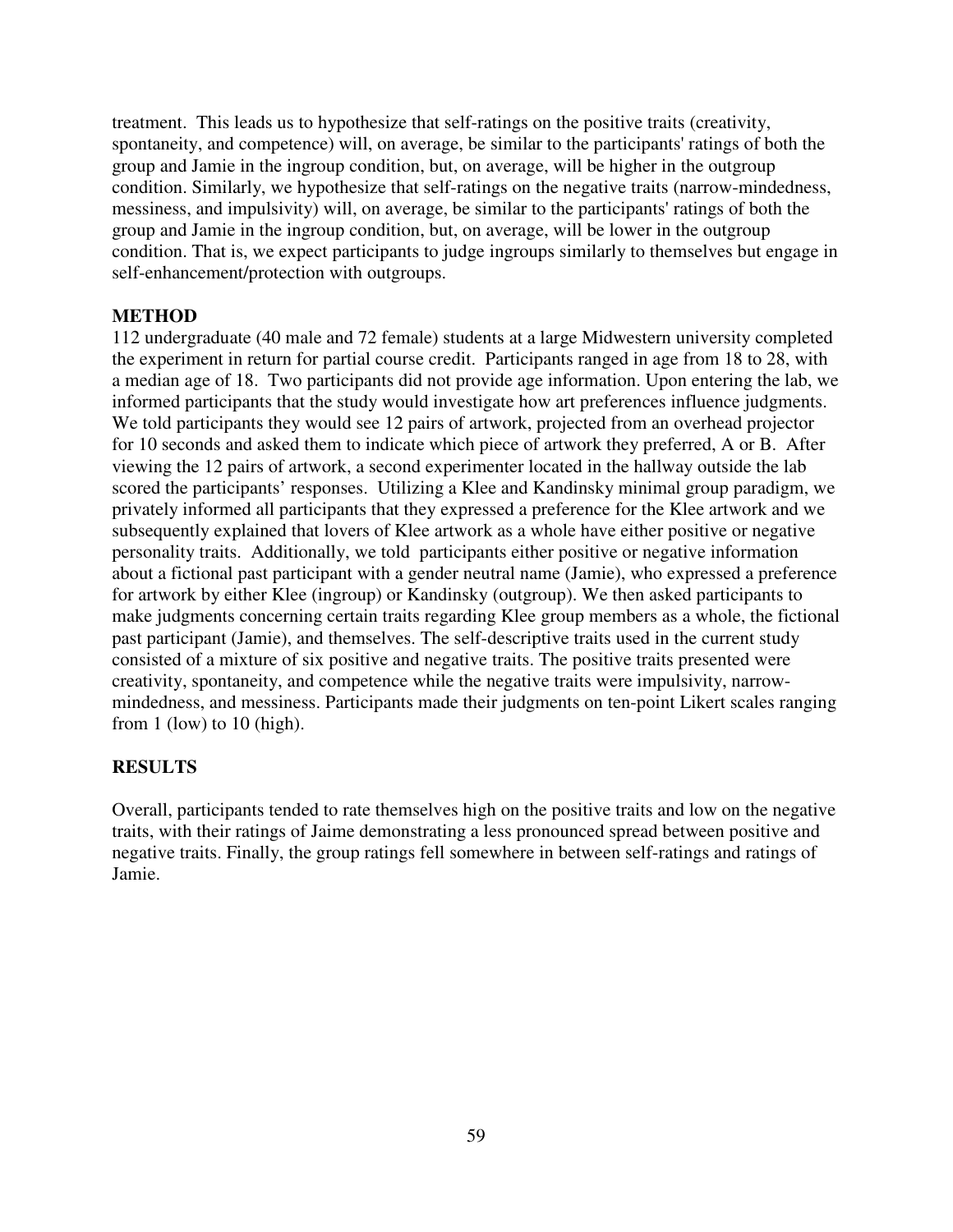treatment. This leads us to hypothesize that self-ratings on the positive traits (creativity, spontaneity, and competence) will, on average, be similar to the participants' ratings of both the group and Jamie in the ingroup condition, but, on average, will be higher in the outgroup condition. Similarly, we hypothesize that self-ratings on the negative traits (narrow-mindedness, messiness, and impulsivity) will, on average, be similar to the participants' ratings of both the group and Jamie in the ingroup condition, but, on average, will be lower in the outgroup condition. That is, we expect participants to judge ingroups similarly to themselves but engage in self-enhancement/protection with outgroups.

#### **METHOD**

112 undergraduate (40 male and 72 female) students at a large Midwestern university completed the experiment in return for partial course credit. Participants ranged in age from 18 to 28, with a median age of 18. Two participants did not provide age information. Upon entering the lab, we informed participants that the study would investigate how art preferences influence judgments. We told participants they would see 12 pairs of artwork, projected from an overhead projector for 10 seconds and asked them to indicate which piece of artwork they preferred, A or B. After viewing the 12 pairs of artwork, a second experimenter located in the hallway outside the lab scored the participants' responses. Utilizing a Klee and Kandinsky minimal group paradigm, we privately informed all participants that they expressed a preference for the Klee artwork and we subsequently explained that lovers of Klee artwork as a whole have either positive or negative personality traits. Additionally, we told participants either positive or negative information about a fictional past participant with a gender neutral name (Jamie), who expressed a preference for artwork by either Klee (ingroup) or Kandinsky (outgroup). We then asked participants to make judgments concerning certain traits regarding Klee group members as a whole, the fictional past participant (Jamie), and themselves. The self-descriptive traits used in the current study consisted of a mixture of six positive and negative traits. The positive traits presented were creativity, spontaneity, and competence while the negative traits were impulsivity, narrowmindedness, and messiness. Participants made their judgments on ten-point Likert scales ranging from 1 (low) to 10 (high).

#### **RESULTS**

Overall, participants tended to rate themselves high on the positive traits and low on the negative traits, with their ratings of Jaime demonstrating a less pronounced spread between positive and negative traits. Finally, the group ratings fell somewhere in between self-ratings and ratings of Jamie.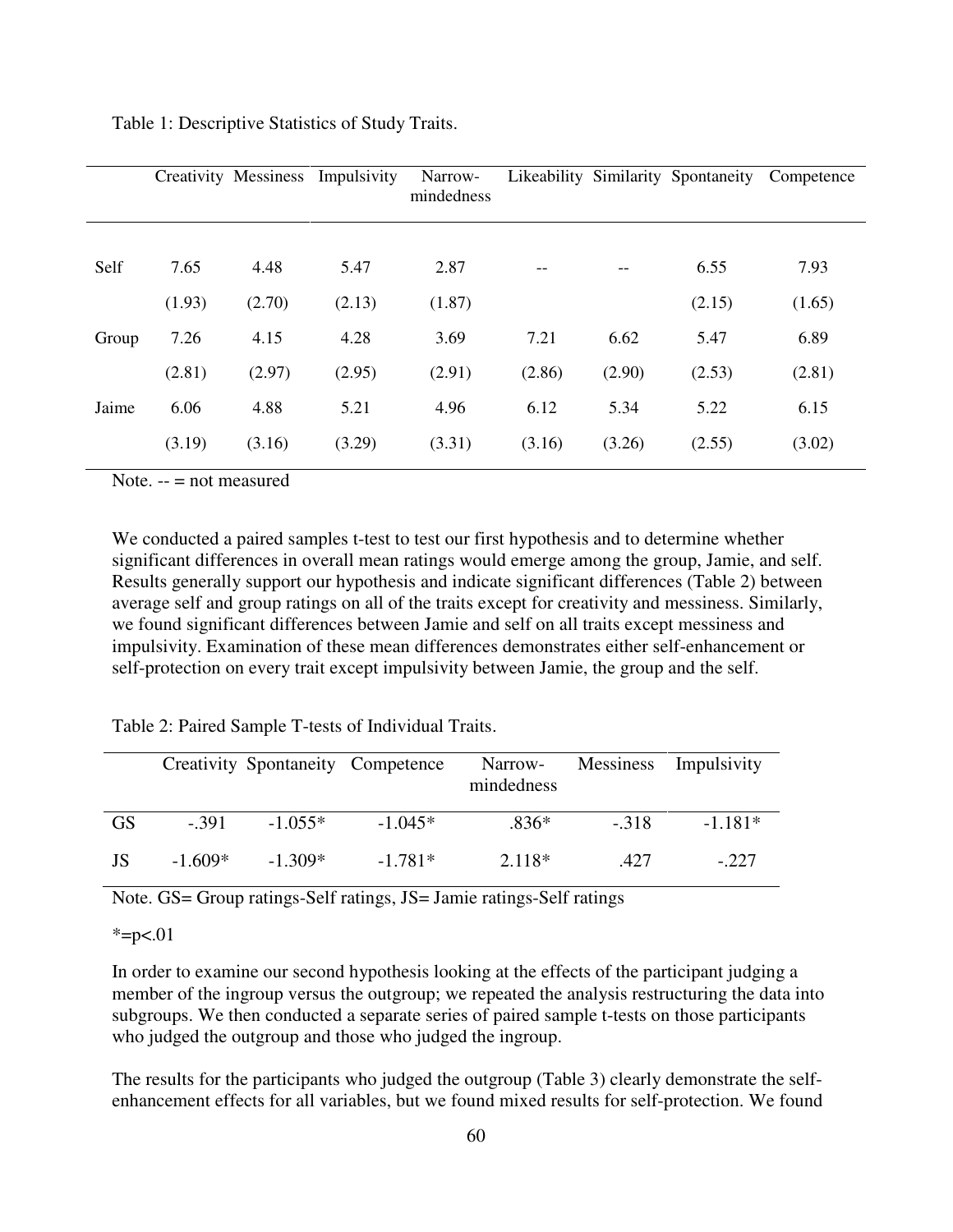|       |        | <b>Creativity Messiness</b> | Impulsivity | Narrow-<br>mindedness |        |                   | Likeability Similarity Spontaneity | Competence |
|-------|--------|-----------------------------|-------------|-----------------------|--------|-------------------|------------------------------------|------------|
| Self  | 7.65   | 4.48                        | 5.47        | 2.87                  | $--$   | $\qquad \qquad -$ | 6.55                               | 7.93       |
|       | (1.93) | (2.70)                      | (2.13)      | (1.87)                |        |                   | (2.15)                             | (1.65)     |
| Group | 7.26   | 4.15                        | 4.28        | 3.69                  | 7.21   | 6.62              | 5.47                               | 6.89       |
|       | (2.81) | (2.97)                      | (2.95)      | (2.91)                | (2.86) | (2.90)            | (2.53)                             | (2.81)     |
| Jaime | 6.06   | 4.88                        | 5.21        | 4.96                  | 6.12   | 5.34              | 5.22                               | 6.15       |
|       | (3.19) | (3.16)                      | (3.29)      | (3.31)                | (3.16) | (3.26)            | (2.55)                             | (3.02)     |

Table 1: Descriptive Statistics of Study Traits.

Note.  $--$  = not measured

We conducted a paired samples t-test to test our first hypothesis and to determine whether significant differences in overall mean ratings would emerge among the group, Jamie, and self. Results generally support our hypothesis and indicate significant differences (Table 2) between average self and group ratings on all of the traits except for creativity and messiness. Similarly, we found significant differences between Jamie and self on all traits except messiness and impulsivity. Examination of these mean differences demonstrates either self-enhancement or self-protection on every trait except impulsivity between Jamie, the group and the self.

| Table 2: Paired Sample T-tests of Individual Traits. |  |  |  |
|------------------------------------------------------|--|--|--|
|------------------------------------------------------|--|--|--|

|           |           |           | Creativity Spontaneity Competence | Narrow-<br>mindedness |        | Messiness Impulsivity |
|-----------|-----------|-----------|-----------------------------------|-----------------------|--------|-----------------------|
| <b>GS</b> | $-391$    | $-1.055*$ | $-1.045*$                         | $.836*$               | $-318$ | $-1.181*$             |
| JS        | $-1.609*$ | $-1.309*$ | $-1.781*$                         | 2.118*                | -427   | $-.227$               |

Note. GS= Group ratings-Self ratings, JS= Jamie ratings-Self ratings

 $*=p<.01$ 

In order to examine our second hypothesis looking at the effects of the participant judging a member of the ingroup versus the outgroup; we repeated the analysis restructuring the data into subgroups. We then conducted a separate series of paired sample t-tests on those participants who judged the outgroup and those who judged the ingroup.

The results for the participants who judged the outgroup (Table 3) clearly demonstrate the selfenhancement effects for all variables, but we found mixed results for self-protection. We found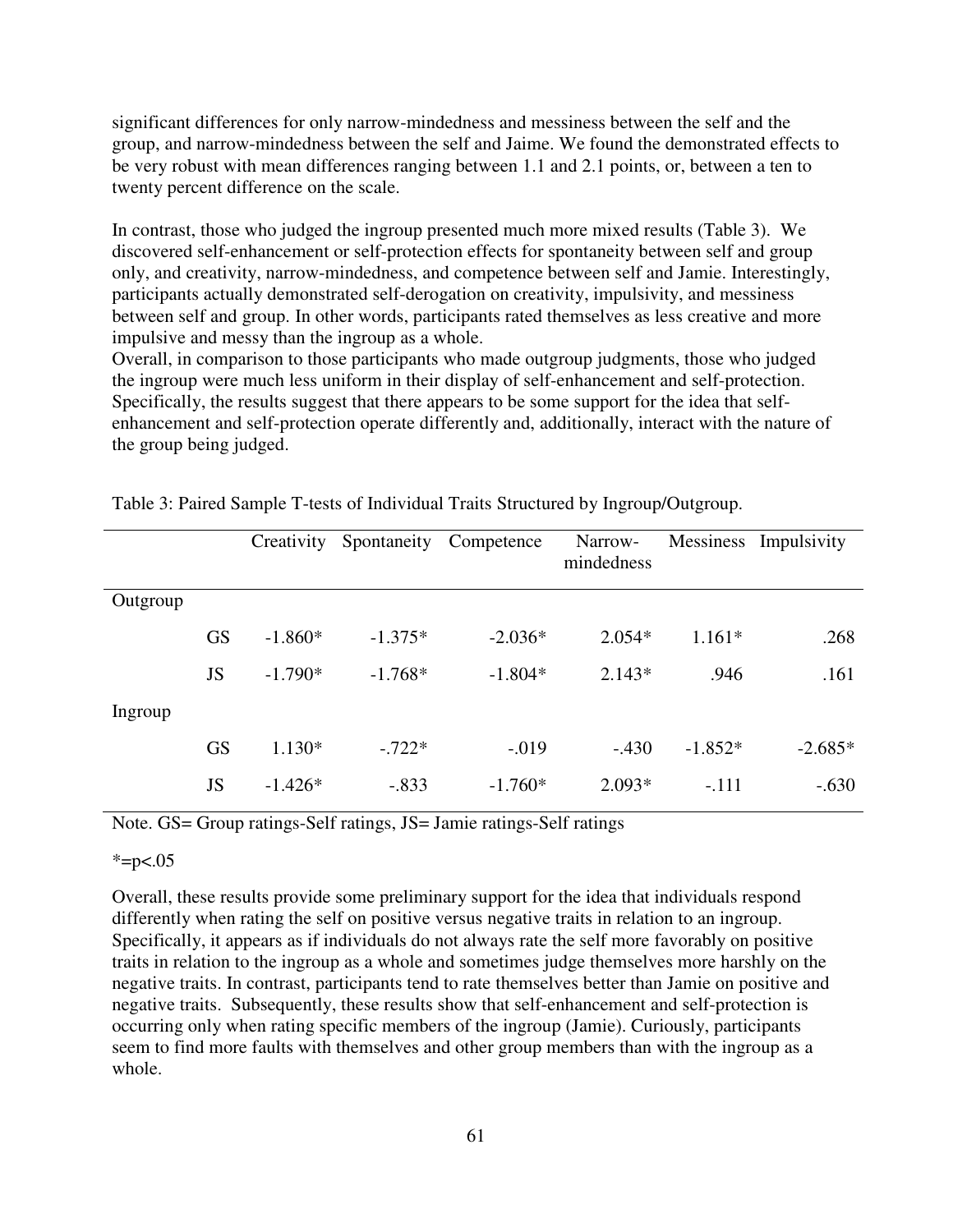significant differences for only narrow-mindedness and messiness between the self and the group, and narrow-mindedness between the self and Jaime. We found the demonstrated effects to be very robust with mean differences ranging between 1.1 and 2.1 points, or, between a ten to twenty percent difference on the scale.

In contrast, those who judged the ingroup presented much more mixed results (Table 3). We discovered self-enhancement or self-protection effects for spontaneity between self and group only, and creativity, narrow-mindedness, and competence between self and Jamie. Interestingly, participants actually demonstrated self-derogation on creativity, impulsivity, and messiness between self and group. In other words, participants rated themselves as less creative and more impulsive and messy than the ingroup as a whole.

Overall, in comparison to those participants who made outgroup judgments, those who judged the ingroup were much less uniform in their display of self-enhancement and self-protection. Specifically, the results suggest that there appears to be some support for the idea that selfenhancement and self-protection operate differently and, additionally, interact with the nature of the group being judged.

|          |           | Creativity | Spontaneity | Competence | Narrow-<br>mindedness | Messiness | Impulsivity |
|----------|-----------|------------|-------------|------------|-----------------------|-----------|-------------|
|          |           |            |             |            |                       |           |             |
| Outgroup |           |            |             |            |                       |           |             |
|          | <b>GS</b> | $-1.860*$  | $-1.375*$   | $-2.036*$  | $2.054*$              | $1.161*$  | .268        |
|          | JS        | $-1.790*$  | $-1.768*$   | $-1.804*$  | $2.143*$              | .946      | .161        |
| Ingroup  |           |            |             |            |                       |           |             |
|          | <b>GS</b> | $1.130*$   | $-.722*$    | $-.019$    | $-.430$               | $-1.852*$ | $-2.685*$   |
|          | JS        | $-1.426*$  | $-.833$     | $-1.760*$  | $2.093*$              | $-.111$   | $-.630$     |

Table 3: Paired Sample T-tests of Individual Traits Structured by Ingroup/Outgroup.

Note. GS= Group ratings-Self ratings, JS= Jamie ratings-Self ratings

#### $* = p < .05$

Overall, these results provide some preliminary support for the idea that individuals respond differently when rating the self on positive versus negative traits in relation to an ingroup. Specifically, it appears as if individuals do not always rate the self more favorably on positive traits in relation to the ingroup as a whole and sometimes judge themselves more harshly on the negative traits. In contrast, participants tend to rate themselves better than Jamie on positive and negative traits. Subsequently, these results show that self-enhancement and self-protection is occurring only when rating specific members of the ingroup (Jamie). Curiously, participants seem to find more faults with themselves and other group members than with the ingroup as a whole.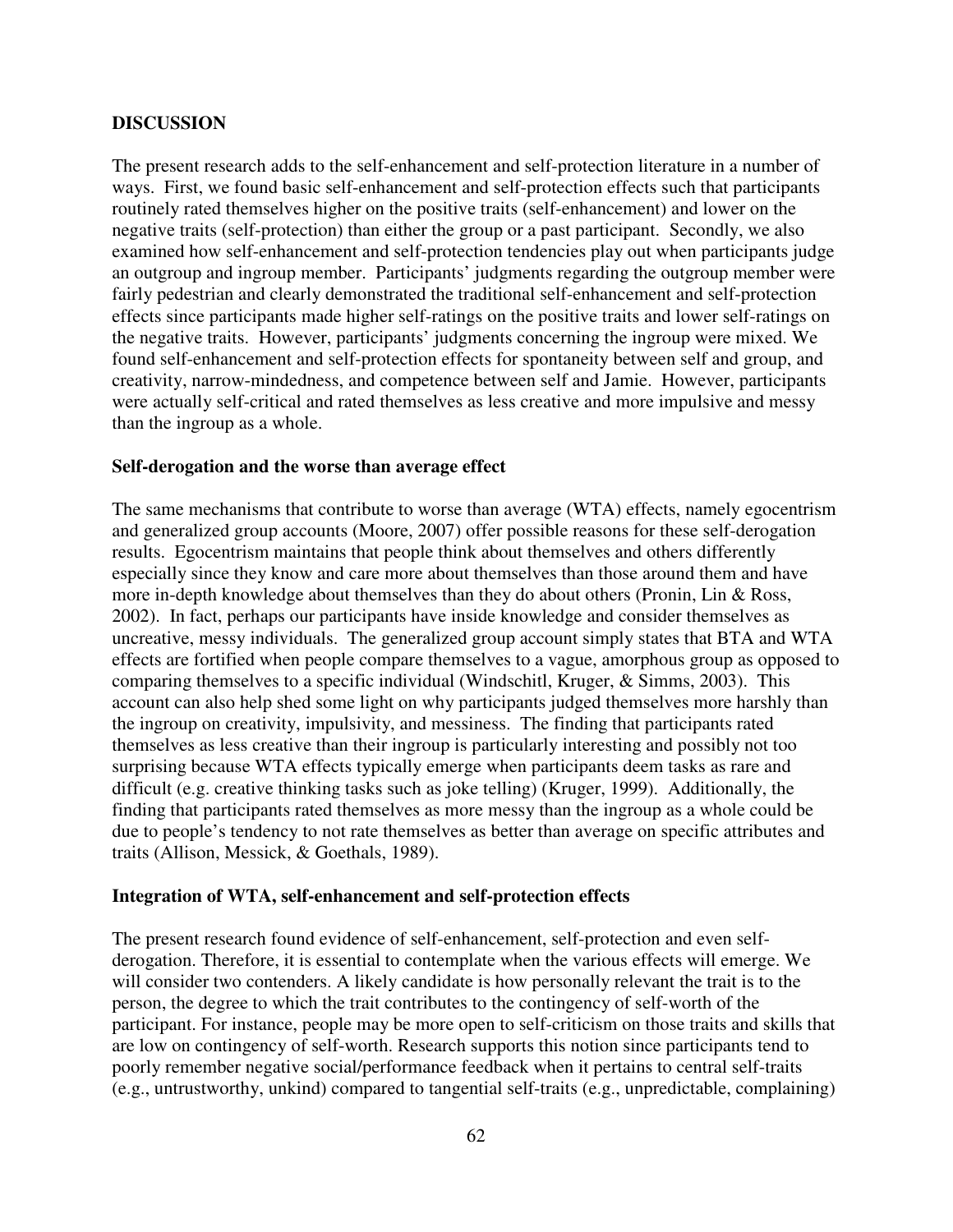#### **DISCUSSION**

The present research adds to the self-enhancement and self-protection literature in a number of ways. First, we found basic self-enhancement and self-protection effects such that participants routinely rated themselves higher on the positive traits (self-enhancement) and lower on the negative traits (self-protection) than either the group or a past participant. Secondly, we also examined how self-enhancement and self-protection tendencies play out when participants judge an outgroup and ingroup member. Participants' judgments regarding the outgroup member were fairly pedestrian and clearly demonstrated the traditional self-enhancement and self-protection effects since participants made higher self-ratings on the positive traits and lower self-ratings on the negative traits. However, participants' judgments concerning the ingroup were mixed. We found self-enhancement and self-protection effects for spontaneity between self and group, and creativity, narrow-mindedness, and competence between self and Jamie. However, participants were actually self-critical and rated themselves as less creative and more impulsive and messy than the ingroup as a whole.

#### **Self-derogation and the worse than average effect**

The same mechanisms that contribute to worse than average (WTA) effects, namely egocentrism and generalized group accounts (Moore, 2007) offer possible reasons for these self-derogation results. Egocentrism maintains that people think about themselves and others differently especially since they know and care more about themselves than those around them and have more in-depth knowledge about themselves than they do about others (Pronin, Lin & Ross, 2002). In fact, perhaps our participants have inside knowledge and consider themselves as uncreative, messy individuals. The generalized group account simply states that BTA and WTA effects are fortified when people compare themselves to a vague, amorphous group as opposed to comparing themselves to a specific individual (Windschitl, Kruger, & Simms, 2003). This account can also help shed some light on why participants judged themselves more harshly than the ingroup on creativity, impulsivity, and messiness. The finding that participants rated themselves as less creative than their ingroup is particularly interesting and possibly not too surprising because WTA effects typically emerge when participants deem tasks as rare and difficult (e.g. creative thinking tasks such as joke telling) (Kruger, 1999). Additionally, the finding that participants rated themselves as more messy than the ingroup as a whole could be due to people's tendency to not rate themselves as better than average on specific attributes and traits (Allison, Messick, & Goethals, 1989).

#### **Integration of WTA, self-enhancement and self-protection effects**

The present research found evidence of self-enhancement, self-protection and even selfderogation. Therefore, it is essential to contemplate when the various effects will emerge. We will consider two contenders. A likely candidate is how personally relevant the trait is to the person, the degree to which the trait contributes to the contingency of self-worth of the participant. For instance, people may be more open to self-criticism on those traits and skills that are low on contingency of self-worth. Research supports this notion since participants tend to poorly remember negative social/performance feedback when it pertains to central self-traits (e.g., untrustworthy, unkind) compared to tangential self-traits (e.g., unpredictable, complaining)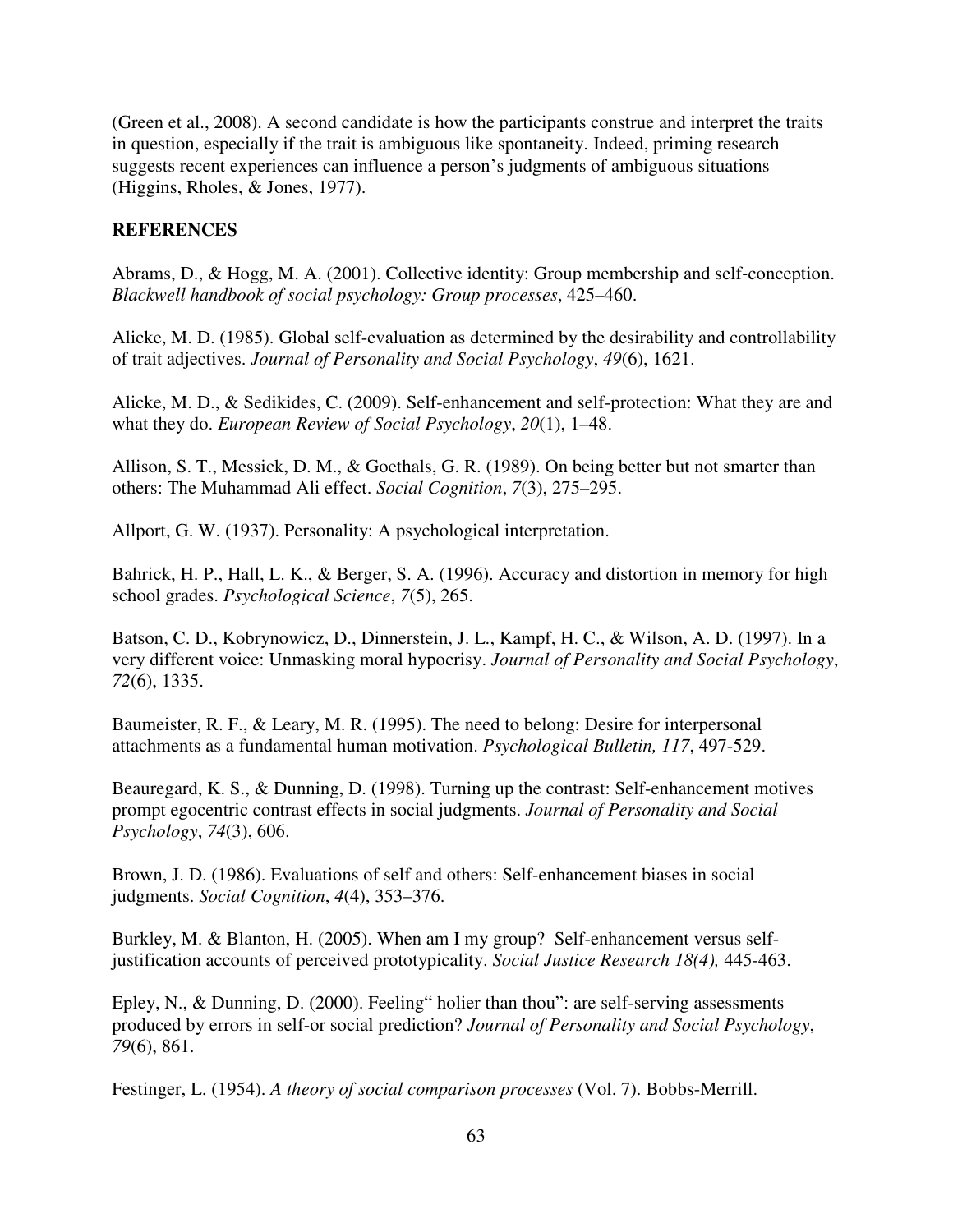(Green et al., 2008). A second candidate is how the participants construe and interpret the traits in question, especially if the trait is ambiguous like spontaneity. Indeed, priming research suggests recent experiences can influence a person's judgments of ambiguous situations (Higgins, Rholes, & Jones, 1977).

## **REFERENCES**

Abrams, D., & Hogg, M. A. (2001). Collective identity: Group membership and self-conception. *Blackwell handbook of social psychology: Group processes*, 425–460.

 Alicke, M. D. (1985). Global self-evaluation as determined by the desirability and controllability of trait adjectives. *Journal of Personality and Social Psychology*, *49*(6), 1621.

 Alicke, M. D., & Sedikides, C. (2009). Self-enhancement and self-protection: What they are and what they do. *European Review of Social Psychology*, *20*(1), 1–48.

 Allison, S. T., Messick, D. M., & Goethals, G. R. (1989). On being better but not smarter than others: The Muhammad Ali effect. *Social Cognition*, *7*(3), 275–295.

Allport, G. W. (1937). Personality: A psychological interpretation.

 Bahrick, H. P., Hall, L. K., & Berger, S. A. (1996). Accuracy and distortion in memory for high school grades. *Psychological Science*, *7*(5), 265.

 Batson, C. D., Kobrynowicz, D., Dinnerstein, J. L., Kampf, H. C., & Wilson, A. D. (1997). In a very different voice: Unmasking moral hypocrisy. *Journal of Personality and Social Psychology*, *72*(6), 1335.

 Baumeister, R. F., & Leary, M. R. (1995). The need to belong: Desire for interpersonal attachments as a fundamental human motivation. *Psychological Bulletin, 117*, 497-529.

 Beauregard, K. S., & Dunning, D. (1998). Turning up the contrast: Self-enhancement motives prompt egocentric contrast effects in social judgments. *Journal of Personality and Social Psychology*, *74*(3), 606.

 Brown, J. D. (1986). Evaluations of self and others: Self-enhancement biases in social judgments. *Social Cognition*, *4*(4), 353–376.

 Burkley, M. & Blanton, H. (2005). When am I my group? Self-enhancement versus selfjustification accounts of perceived prototypicality. *Social Justice Research 18(4),* 445-463.

 Epley, N., & Dunning, D. (2000). Feeling" holier than thou": are self-serving assessments produced by errors in self-or social prediction? *Journal of Personality and Social Psychology*, *79*(6), 861.

Festinger, L. (1954). *A theory of social comparison processes* (Vol. 7). Bobbs-Merrill.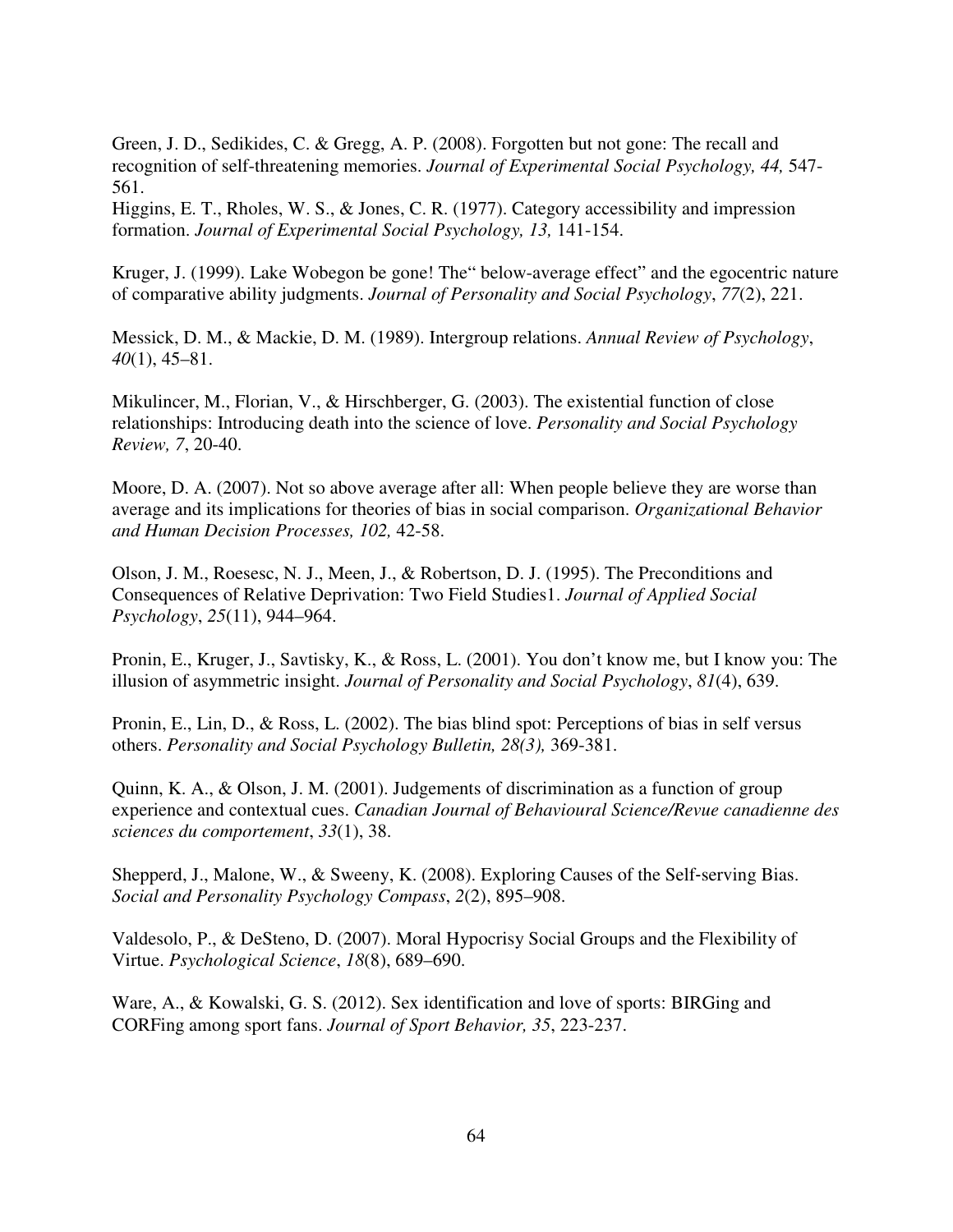Green, J. D., Sedikides, C. & Gregg, A. P. (2008). Forgotten but not gone: The recall and recognition of self-threatening memories. *Journal of Experimental Social Psychology, 44,* 547- 561.

 Higgins, E. T., Rholes, W. S., & Jones, C. R. (1977). Category accessibility and impression formation. *Journal of Experimental Social Psychology, 13,* 141-154.

 Kruger, J. (1999). Lake Wobegon be gone! The" below-average effect" and the egocentric nature of comparative ability judgments. *Journal of Personality and Social Psychology*, *77*(2), 221.

 Messick, D. M., & Mackie, D. M. (1989). Intergroup relations. *Annual Review of Psychology*, *40*(1), 45–81.

 Mikulincer, M., Florian, V., & Hirschberger, G. (2003). The existential function of close relationships: Introducing death into the science of love. *Personality and Social Psychology Review, 7*, 20-40.

 Moore, D. A. (2007). Not so above average after all: When people believe they are worse than average and its implications for theories of bias in social comparison. *Organizational Behavior and Human Decision Processes, 102,* 42-58.

 Olson, J. M., Roesesc, N. J., Meen, J., & Robertson, D. J. (1995). The Preconditions and Consequences of Relative Deprivation: Two Field Studies1. *Journal of Applied Social Psychology*, *25*(11), 944–964.

 Pronin, E., Kruger, J., Savtisky, K., & Ross, L. (2001). You don't know me, but I know you: The illusion of asymmetric insight. *Journal of Personality and Social Psychology*, *81*(4), 639.

 Pronin, E., Lin, D., & Ross, L. (2002). The bias blind spot: Perceptions of bias in self versus others. *Personality and Social Psychology Bulletin, 28(3),* 369-381.

 Quinn, K. A., & Olson, J. M. (2001). Judgements of discrimination as a function of group experience and contextual cues. *Canadian Journal of Behavioural Science/Revue canadienne des sciences du comportement*, *33*(1), 38.

Shepperd, J., Malone, W., & Sweeny, K. (2008). Exploring Causes of the Self-serving Bias. *Social and Personality Psychology Compass*, *2*(2), 895–908.

 Valdesolo, P., & DeSteno, D. (2007). Moral Hypocrisy Social Groups and the Flexibility of Virtue. *Psychological Science*, *18*(8), 689–690.

 Ware, A., & Kowalski, G. S. (2012). Sex identification and love of sports: BIRGing and CORFing among sport fans. *Journal of Sport Behavior, 35*, 223-237.